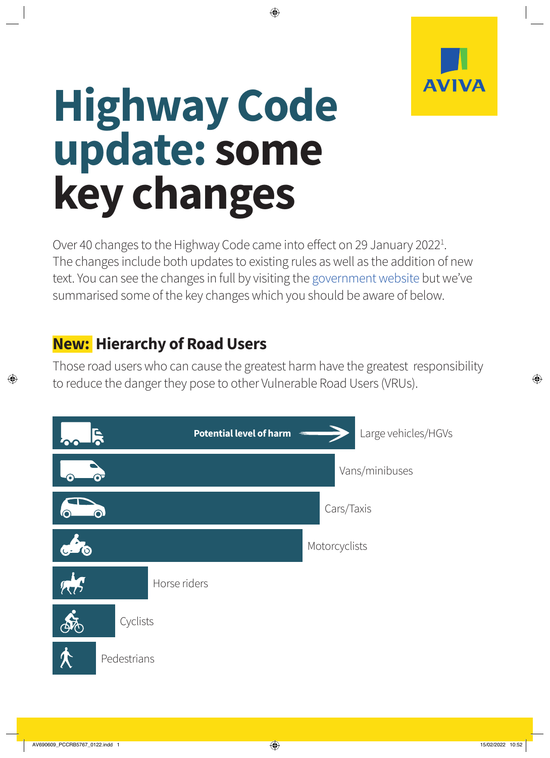

# **Highway Code update: some key changes**

Over 40 changes to the Highway Code came into effect on 29 January 2022<sup>1</sup>. The changes include both updates to existing rules as well as the addition of new text. You can see the changes in full by visiting the [government website](https://www.gov.uk/guidance/the-highway-code) but we've summarised some of the key changes which you should be aware of below.

## **New: Hierarchy of Road Users**

Those road users who can cause the greatest harm have the greatest responsibility to reduce the danger they pose to other Vulnerable Road Users (VRUs).

|           | <b>Potential level of harm</b><br>Ę | Large vehicles/HGVs |
|-----------|-------------------------------------|---------------------|
|           |                                     | Vans/minibuses      |
|           | ⋒                                   | Cars/Taxis          |
| O         |                                     | Motorcyclists       |
| <b>AR</b> | Horse riders                        |                     |
|           | Cyclists                            |                     |
|           | Pedestrians                         |                     |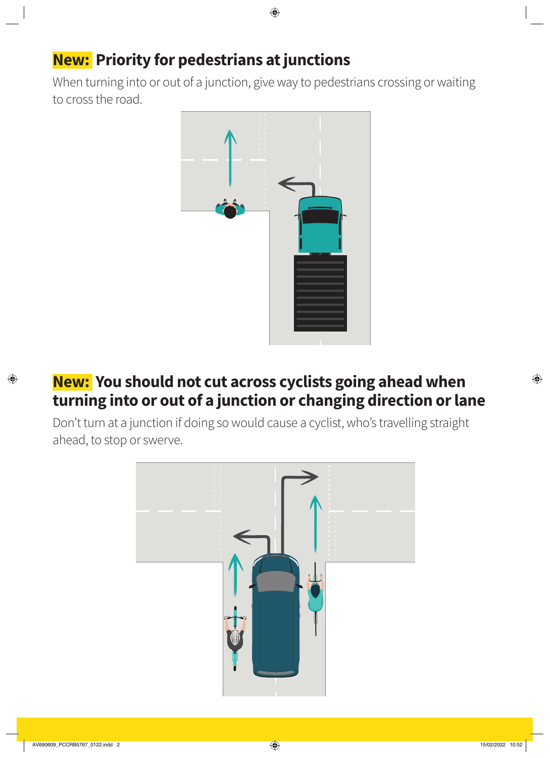## **New: Priority for pedestrians at junctions**

When turning into or out of a junction, give way to pedestrians crossing or waiting to cross the road.



#### **New: You should not cut across cyclists going ahead when turning into or out of a junction or changing direction or lane**

Don't turn at a junction if doing so would cause a cyclist, who's travelling straight ahead, to stop or swerve.

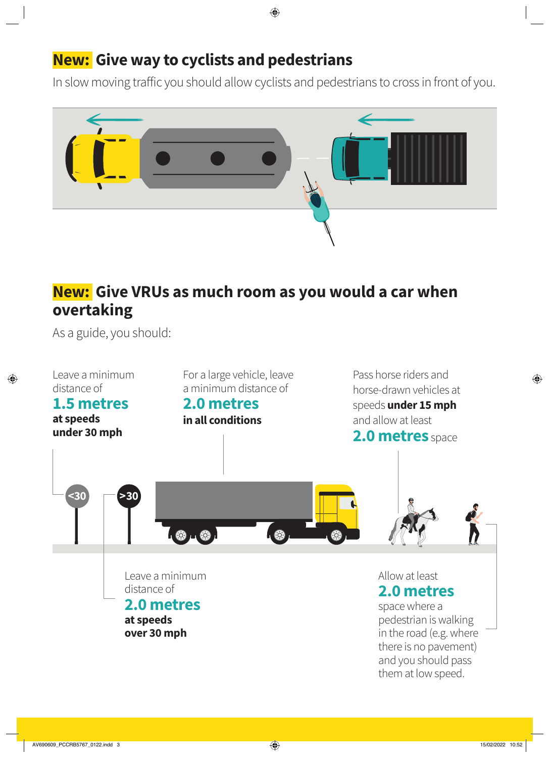## **New: Give way to cyclists and pedestrians**

In slow moving traffic you should allow cyclists and pedestrians to cross in front of you.



## **New: Give VRUs as much room as you would a car when overtaking**

As a guide, you should: